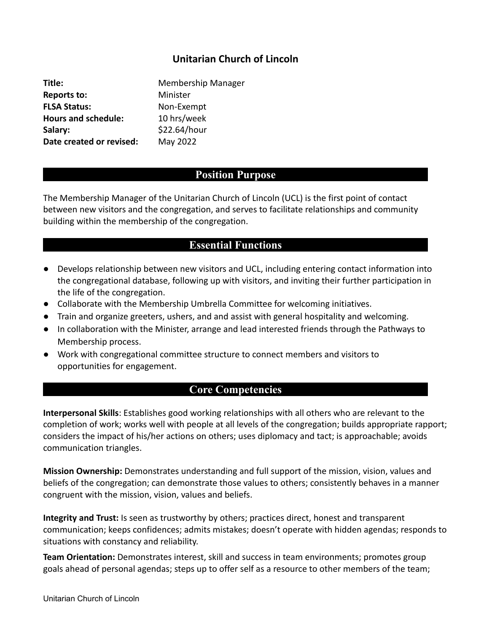# **Unitarian Church of Lincoln**

**Title:** Membership Manager **Reports to:** Minister **FLSA Status:** Non-Exempt Hours and schedule: 10 hrs/week Salary: \$22.64/hour **Date created or revised:** May 2022

### **Position Purpose**

The Membership Manager of the Unitarian Church of Lincoln (UCL) is the first point of contact between new visitors and the congregation, and serves to facilitate relationships and community building within the membership of the congregation.

# **Essential Functions**

- Develops relationship between new visitors and UCL, including entering contact information into the congregational database, following up with visitors, and inviting their further participation in the life of the congregation.
- Collaborate with the Membership Umbrella Committee for welcoming initiatives.
- Train and organize greeters, ushers, and and assist with general hospitality and welcoming.
- In collaboration with the Minister, arrange and lead interested friends through the Pathways to Membership process.
- Work with congregational committee structure to connect members and visitors to opportunities for engagement.

### **Core Competencies**

**Interpersonal Skills**: Establishes good working relationships with all others who are relevant to the completion of work; works well with people at all levels of the congregation; builds appropriate rapport; considers the impact of his/her actions on others; uses diplomacy and tact; is approachable; avoids communication triangles.

**Mission Ownership:** Demonstrates understanding and full support of the mission, vision, values and beliefs of the congregation; can demonstrate those values to others; consistently behaves in a manner congruent with the mission, vision, values and beliefs.

**Integrity and Trust:** Is seen as trustworthy by others; practices direct, honest and transparent communication; keeps confidences; admits mistakes; doesn't operate with hidden agendas; responds to situations with constancy and reliability.

**Team Orientation:** Demonstrates interest, skill and success in team environments; promotes group goals ahead of personal agendas; steps up to offer self as a resource to other members of the team;